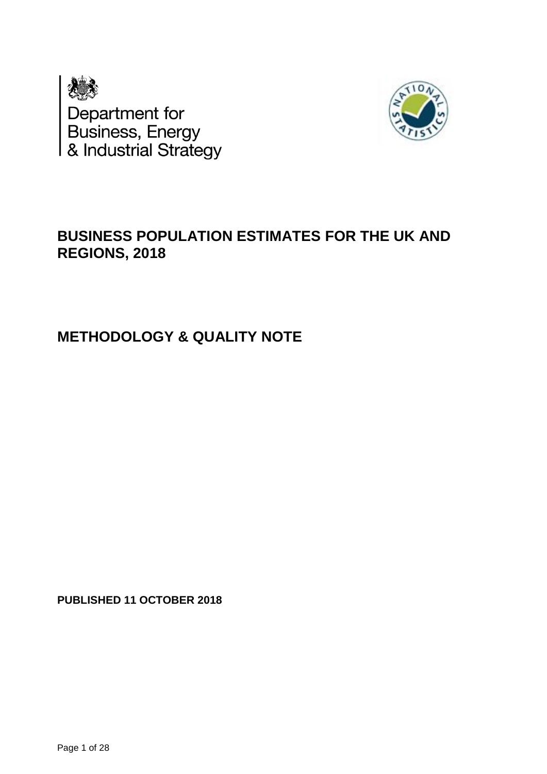



## **BUSINESS POPULATION ESTIMATES FOR THE UK AND REGIONS, 2018**

## **METHODOLOGY & QUALITY NOTE**

**PUBLISHED 11 OCTOBER 2018**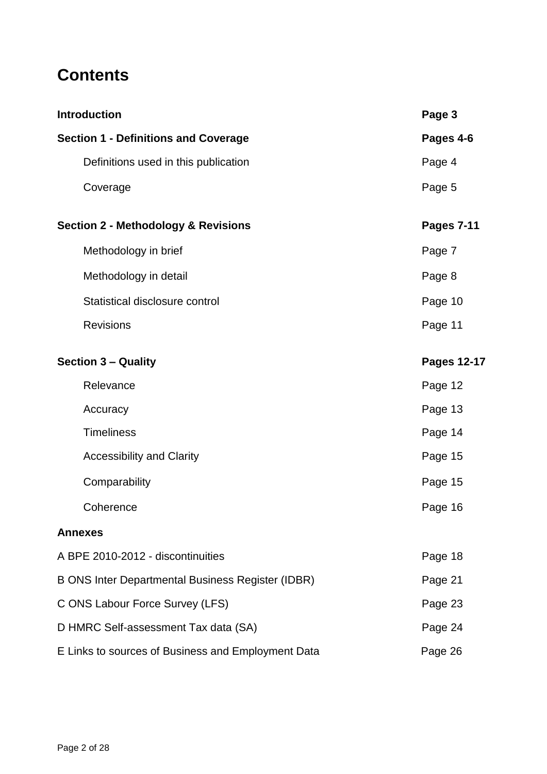# **Contents**

| <b>Introduction</b>                                | Page 3                               |                    |
|----------------------------------------------------|--------------------------------------|--------------------|
| <b>Section 1 - Definitions and Coverage</b>        |                                      | Pages 4-6          |
|                                                    | Definitions used in this publication | Page 4             |
|                                                    | Coverage                             | Page 5             |
| <b>Section 2 - Methodology &amp; Revisions</b>     |                                      | <b>Pages 7-11</b>  |
|                                                    | Methodology in brief                 | Page 7             |
|                                                    | Methodology in detail                | Page 8             |
|                                                    | Statistical disclosure control       | Page 10            |
|                                                    | <b>Revisions</b>                     | Page 11            |
| <b>Section 3 - Quality</b>                         |                                      | <b>Pages 12-17</b> |
|                                                    | Relevance                            | Page 12            |
|                                                    | Accuracy                             | Page 13            |
|                                                    | <b>Timeliness</b>                    | Page 14            |
|                                                    | <b>Accessibility and Clarity</b>     | Page 15            |
|                                                    | Comparability                        | Page 15            |
|                                                    | Coherence                            | Page 16            |
|                                                    | <b>Annexes</b>                       |                    |
|                                                    | A BPE 2010-2012 - discontinuities    | Page 18            |
| B ONS Inter Departmental Business Register (IDBR)  |                                      | Page 21            |
| C ONS Labour Force Survey (LFS)                    |                                      | Page 23            |
| D HMRC Self-assessment Tax data (SA)               | Page 24                              |                    |
| E Links to sources of Business and Employment Data | Page 26                              |                    |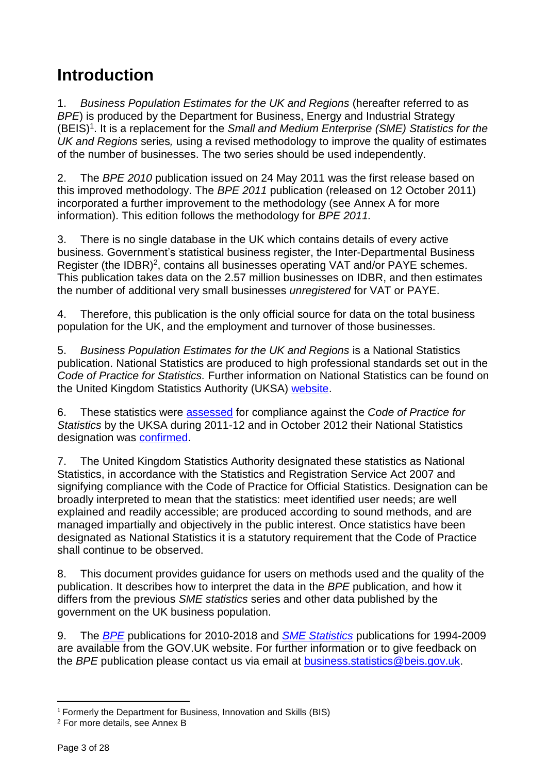# **Introduction**

1. *Business Population Estimates for the UK and Regions* (hereafter referred to as *BPE*) is produced by the Department for Business, Energy and Industrial Strategy (BEIS)<sup>1</sup>. It is a replacement for the *Small and Medium Enterprise (SME) Statistics for the UK and Regions* series*,* using a revised methodology to improve the quality of estimates of the number of businesses. The two series should be used independently.

2. The *BPE 2010* publication issued on 24 May 2011 was the first release based on this improved methodology. The *BPE 2011* publication (released on 12 October 2011) incorporated a further improvement to the methodology (see Annex A for more information). This edition follows the methodology for *BPE 2011.*

3. There is no single database in the UK which contains details of every active business. Government's statistical business register, the Inter-Departmental Business Register (the IDBR)<sup>2</sup>, contains all businesses operating VAT and/or PAYE schemes. This publication takes data on the 2.57 million businesses on IDBR, and then estimates the number of additional very small businesses *unregistered* for VAT or PAYE.

4. Therefore, this publication is the only official source for data on the total business population for the UK, and the employment and turnover of those businesses.

5. *Business Population Estimates for the UK and Regions* is a National Statistics publication. National Statistics are produced to high professional standards set out in the *Code of Practice for Statistics.* Further information on National Statistics can be found on the United Kingdom Statistics Authority (UKSA) [website.](http://www.statisticsauthority.gov.uk/assessment/code-of-practice/index.html)

6. These statistics were [assessed](http://www.statisticsauthority.gov.uk/assessment/assessment/assessment-reports/assessment-report-187---statistics-on-uk-business-population-and-demography.pdf) for compliance against the *Code of Practice for Statistics* by the UKSA during 2011-12 and in October 2012 their National Statistics designation was [confirmed.](http://www.statisticsauthority.gov.uk/assessment/assessment/assessment-reports/confirmation-of-designation-letters/letter-of-confirmation-as-national-statistics---assessment-report-187.pdf)

7. The United Kingdom Statistics Authority designated these statistics as National Statistics, in accordance with the Statistics and Registration Service Act 2007 and signifying compliance with the Code of Practice for Official Statistics. Designation can be broadly interpreted to mean that the statistics: meet identified user needs; are well explained and readily accessible; are produced according to sound methods, and are managed impartially and objectively in the public interest. Once statistics have been designated as National Statistics it is a statutory requirement that the Code of Practice shall continue to be observed.

8. This document provides guidance for users on methods used and the quality of the publication. It describes how to interpret the data in the *BPE* publication, and how it differs from the previous *SME statistics* series and other data published by the government on the UK business population.

9. The *[BPE](https://www.gov.uk/government/collections/business-population-estimates)* publications for 2010-2018 and *[SME Statistics](http://webarchive.nationalarchives.gov.uk/20110920151722/http:/stats.bis.gov.uk/ed/sme/index.htm)* publications for 1994-2009 are available from the GOV.UK website. For further information or to give feedback on the *BPE* publication please contact us via email at [business.statistics@beis.gov.uk.](mailto:business.statistics@beis.gov.uk)

 $\overline{a}$ <sup>1</sup> Formerly the Department for Business, Innovation and Skills (BIS)

<sup>2</sup> For more details, see Annex B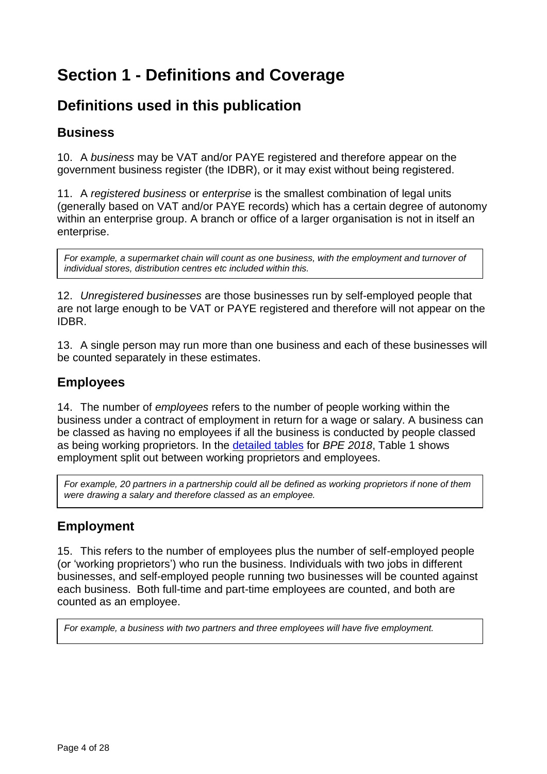# **Section 1 - Definitions and Coverage**

## **Definitions used in this publication**

## **Business**

10. A *business* may be VAT and/or PAYE registered and therefore appear on the government business register (the IDBR), or it may exist without being registered.

11. A *registered business* or *enterprise* is the smallest combination of legal units (generally based on VAT and/or PAYE records) which has a certain degree of autonomy within an enterprise group. A branch or office of a larger organisation is not in itself an enterprise.

*For example, a supermarket chain will count as one business, with the employment and turnover of individual stores, distribution centres etc included within this.*

12. *Unregistered businesses* are those businesses run by self-employed people that are not large enough to be VAT or PAYE registered and therefore will not appear on the IDBR.

13. A single person may run more than one business and each of these businesses will be counted separately in these estimates.

## **Employees**

14. The number of *employees* refers to the number of people working within the business under a contract of employment in return for a wage or salary. A business can be classed as having no employees if all the business is conducted by people classed as being working proprietors. In the [detailed tables](https://www.gov.uk/government/statistics/business-population-estimates-2018) for *BPE 2018*, Table 1 shows employment split out between working proprietors and employees.

*For example, 20 partners in a partnership could all be defined as working proprietors if none of them were drawing a salary and therefore classed as an employee.* 

## **Employment**

15. This refers to the number of employees plus the number of self-employed people (or 'working proprietors') who run the business. Individuals with two jobs in different businesses, and self-employed people running two businesses will be counted against each business. Both full-time and part-time employees are counted, and both are counted as an employee.

*For example, a business with two partners and three employees will have five employment.*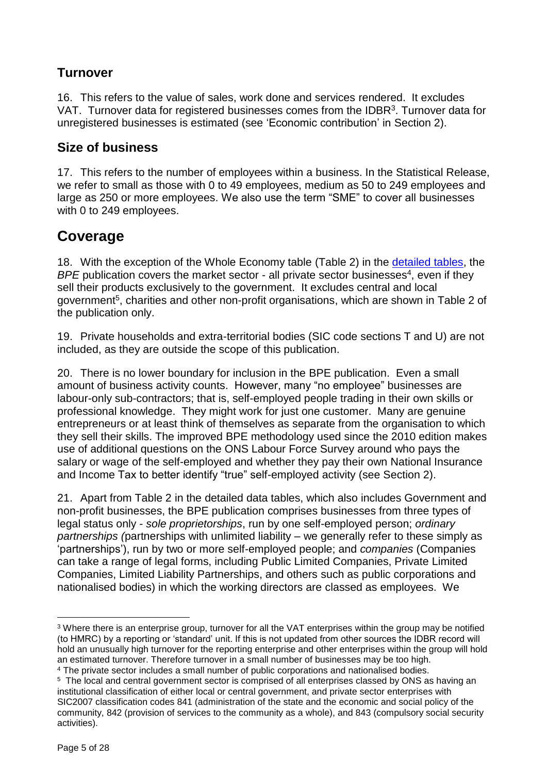## **Turnover**

16. This refers to the value of sales, work done and services rendered. It excludes VAT. Turnover data for registered businesses comes from the IDBR<sup>3</sup>. Turnover data for unregistered businesses is estimated (see 'Economic contribution' in Section 2).

## **Size of business**

17. This refers to the number of employees within a business. In the Statistical Release, we refer to small as those with 0 to 49 employees, medium as 50 to 249 employees and large as 250 or more employees. We also use the term "SME" to cover all businesses with 0 to 249 employees.

## **Coverage**

18. With the exception of the Whole Economy table (Table 2) in the [detailed tables,](https://www.gov.uk/government/statistics/business-population-estimates-2018) the BPE publication covers the market sector - all private sector businesses<sup>4</sup>, even if they sell their products exclusively to the government. It excludes central and local government<sup>5</sup>, charities and other non-profit organisations, which are shown in Table 2 of the publication only.

19. Private households and extra-territorial bodies (SIC code sections T and U) are not included, as they are outside the scope of this publication.

20. There is no lower boundary for inclusion in the BPE publication. Even a small amount of business activity counts. However, many "no employee" businesses are labour-only sub-contractors; that is, self-employed people trading in their own skills or professional knowledge. They might work for just one customer. Many are genuine entrepreneurs or at least think of themselves as separate from the organisation to which they sell their skills. The improved BPE methodology used since the 2010 edition makes use of additional questions on the ONS Labour Force Survey around who pays the salary or wage of the self-employed and whether they pay their own National Insurance and Income Tax to better identify "true" self-employed activity (see Section 2).

21. Apart from Table 2 in the detailed data tables, which also includes Government and non-profit businesses, the BPE publication comprises businesses from three types of legal status only - *sole proprietorships*, run by one self-employed person; *ordinary partnerships (*partnerships with unlimited liability – we generally refer to these simply as 'partnerships'), run by two or more self-employed people; and *companies* (Companies can take a range of legal forms, including Public Limited Companies, Private Limited Companies, Limited Liability Partnerships, and others such as public corporations and nationalised bodies) in which the working directors are classed as employees. We

 $\overline{a}$ <sup>3</sup> Where there is an enterprise group, turnover for all the VAT enterprises within the group may be notified (to HMRC) by a reporting or 'standard' unit. If this is not updated from other sources the IDBR record will hold an unusually high turnover for the reporting enterprise and other enterprises within the group will hold an estimated turnover. Therefore turnover in a small number of businesses may be too high. <sup>4</sup> The private sector includes a small number of public corporations and nationalised bodies.

<sup>5</sup> The local and central government sector is comprised of all enterprises classed by ONS as having an institutional classification of either local or central government, and private sector enterprises with SIC2007 classification codes 841 (administration of the state and the economic and social policy of the community, 842 (provision of services to the community as a whole), and 843 (compulsory social security activities).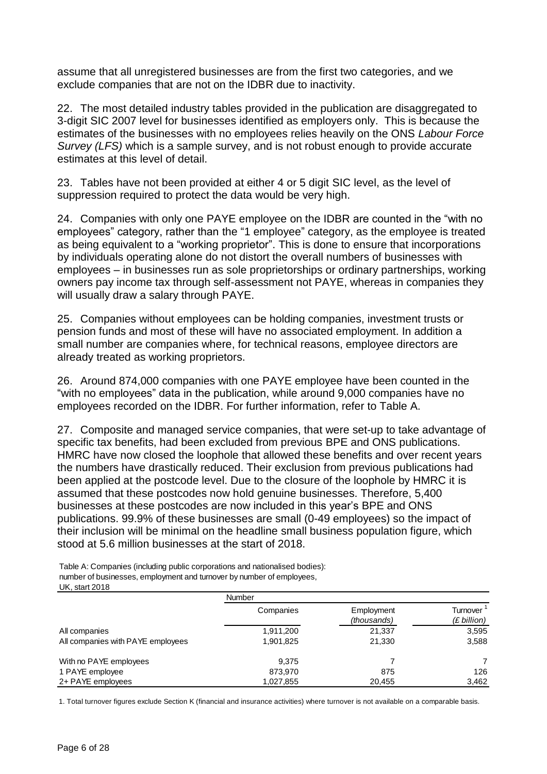assume that all unregistered businesses are from the first two categories, and we exclude companies that are not on the IDBR due to inactivity.

22. The most detailed industry tables provided in the publication are disaggregated to 3-digit SIC 2007 level for businesses identified as employers only. This is because the estimates of the businesses with no employees relies heavily on the ONS *Labour Force Survey (LFS)* which is a sample survey, and is not robust enough to provide accurate estimates at this level of detail.

23. Tables have not been provided at either 4 or 5 digit SIC level, as the level of suppression required to protect the data would be very high.

24. Companies with only one PAYE employee on the IDBR are counted in the "with no employees" category, rather than the "1 employee" category, as the employee is treated as being equivalent to a "working proprietor". This is done to ensure that incorporations by individuals operating alone do not distort the overall numbers of businesses with employees – in businesses run as sole proprietorships or ordinary partnerships, working owners pay income tax through self-assessment not PAYE, whereas in companies they will usually draw a salary through PAYE.

25. Companies without employees can be holding companies, investment trusts or pension funds and most of these will have no associated employment. In addition a small number are companies where, for technical reasons, employee directors are already treated as working proprietors.

26. Around 874,000 companies with one PAYE employee have been counted in the "with no employees" data in the publication, while around 9,000 companies have no employees recorded on the IDBR. For further information, refer to Table A.

27. Composite and managed service companies, that were set-up to take advantage of specific tax benefits, had been excluded from previous BPE and ONS publications. HMRC have now closed the loophole that allowed these benefits and over recent years the numbers have drastically reduced. Their exclusion from previous publications had been applied at the postcode level. Due to the closure of the loophole by HMRC it is assumed that these postcodes now hold genuine businesses. Therefore, 5,400 businesses at these postcodes are now included in this year's BPE and ONS publications. 99.9% of these businesses are small (0-49 employees) so the impact of their inclusion will be minimal on the headline small business population figure, which stood at 5.6 million businesses at the start of 2018.

Table A: Companies (including public corporations and nationalised bodies): number of businesses, employment and turnover by number of employees, UK, start 2018

|                                   | Number    |                           |                                               |
|-----------------------------------|-----------|---------------------------|-----------------------------------------------|
|                                   | Companies | Employment<br>(thousands) | Turnover <sup>1</sup><br>$(E\text{ billion})$ |
| All companies                     | 1,911,200 | 21,337                    | 3,595                                         |
| All companies with PAYE employees | 1,901,825 | 21,330                    | 3,588                                         |
| With no PAYE employees            | 9.375     |                           | 7                                             |
| 1 PAYE employee                   | 873.970   | 875                       | 126                                           |
| 2+ PAYE employees                 | 1,027,855 | 20.455                    | 3,462                                         |

1. Total turnover figures exclude Section K (financial and insurance activities) where turnover is not available on a comparable basis.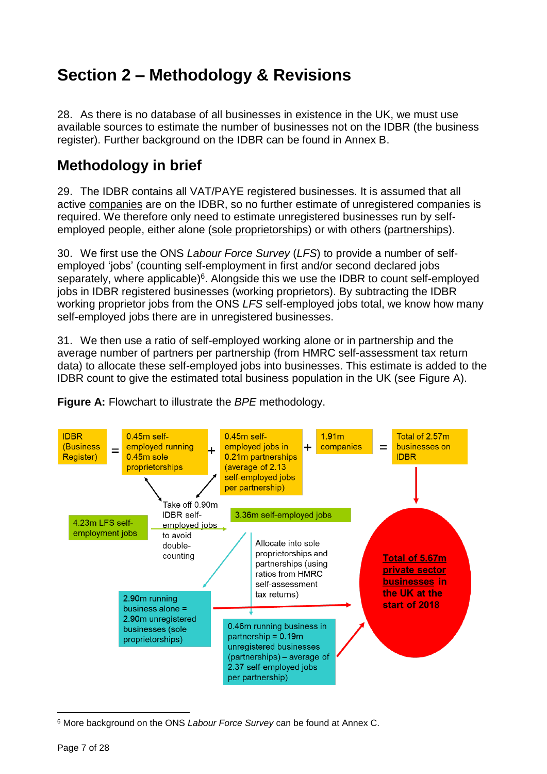# **Section 2 – Methodology & Revisions**

28. As there is no database of all businesses in existence in the UK, we must use available sources to estimate the number of businesses not on the IDBR (the business register). Further background on the IDBR can be found in Annex B.

## **Methodology in brief**

29. The IDBR contains all VAT/PAYE registered businesses. It is assumed that all active companies are on the IDBR, so no further estimate of unregistered companies is required. We therefore only need to estimate unregistered businesses run by selfemployed people, either alone (sole proprietorships) or with others (partnerships).

30. We first use the ONS *Labour Force Survey* (*LFS*) to provide a number of selfemployed 'jobs' (counting self-employment in first and/or second declared jobs separately, where applicable)<sup>6</sup>. Alongside this we use the IDBR to count self-employed jobs in IDBR registered businesses (working proprietors). By subtracting the IDBR working proprietor jobs from the ONS *LFS* self-employed jobs total, we know how many self-employed jobs there are in unregistered businesses.

31. We then use a ratio of self-employed working alone or in partnership and the average number of partners per partnership (from HMRC self-assessment tax return data) to allocate these self-employed jobs into businesses. This estimate is added to the IDBR count to give the estimated total business population in the UK (see Figure A).





<sup>6</sup> More background on the ONS *Labour Force Survey* can be found at Annex C.

 $\overline{a}$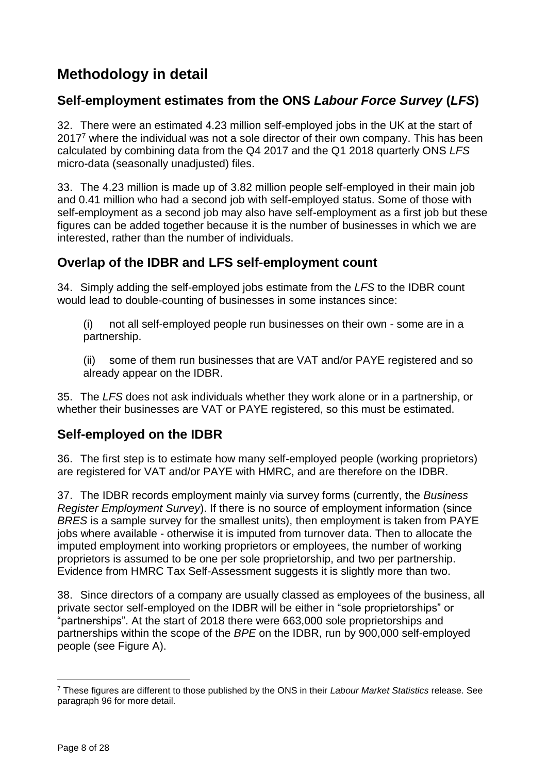## **Methodology in detail**

## **Self-employment estimates from the ONS** *Labour Force Survey* **(***LFS***)**

32. There were an estimated 4.23 million self-employed jobs in the UK at the start of 2017<sup>7</sup> where the individual was not a sole director of their own company. This has been calculated by combining data from the Q4 2017 and the Q1 2018 quarterly ONS *LFS* micro-data (seasonally unadjusted) files.

33. The 4.23 million is made up of 3.82 million people self-employed in their main job and 0.41 million who had a second job with self-employed status. Some of those with self-employment as a second job may also have self-employment as a first job but these figures can be added together because it is the number of businesses in which we are interested, rather than the number of individuals.

## **Overlap of the IDBR and LFS self-employment count**

34. Simply adding the self-employed jobs estimate from the *LFS* to the IDBR count would lead to double-counting of businesses in some instances since:

(i) not all self-employed people run businesses on their own - some are in a partnership.

(ii) some of them run businesses that are VAT and/or PAYE registered and so already appear on the IDBR.

35. The *LFS* does not ask individuals whether they work alone or in a partnership, or whether their businesses are VAT or PAYE registered, so this must be estimated.

## **Self-employed on the IDBR**

36. The first step is to estimate how many self-employed people (working proprietors) are registered for VAT and/or PAYE with HMRC, and are therefore on the IDBR.

37. The IDBR records employment mainly via survey forms (currently, the *Business Register Employment Survey*). If there is no source of employment information (since *BRES* is a sample survey for the smallest units), then employment is taken from PAYE jobs where available - otherwise it is imputed from turnover data. Then to allocate the imputed employment into working proprietors or employees, the number of working proprietors is assumed to be one per sole proprietorship, and two per partnership. Evidence from HMRC Tax Self-Assessment suggests it is slightly more than two.

38. Since directors of a company are usually classed as employees of the business, all private sector self-employed on the IDBR will be either in "sole proprietorships" or "partnerships". At the start of 2018 there were 663,000 sole proprietorships and partnerships within the scope of the *BPE* on the IDBR, run by 900,000 self-employed people (see Figure A).

 $\overline{a}$ <sup>7</sup> These figures are different to those published by the ONS in their *Labour Market Statistics* release. See paragraph 96 for more detail.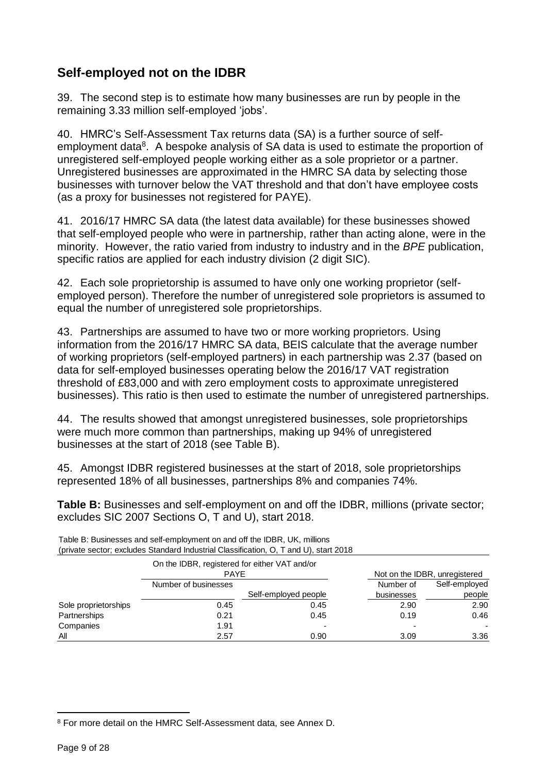## **Self-employed not on the IDBR**

39. The second step is to estimate how many businesses are run by people in the remaining 3.33 million self-employed 'jobs'.

40. HMRC's Self-Assessment Tax returns data (SA) is a further source of selfemployment data<sup>8</sup>. A bespoke analysis of SA data is used to estimate the proportion of unregistered self-employed people working either as a sole proprietor or a partner. Unregistered businesses are approximated in the HMRC SA data by selecting those businesses with turnover below the VAT threshold and that don't have employee costs (as a proxy for businesses not registered for PAYE).

41. 2016/17 HMRC SA data (the latest data available) for these businesses showed that self-employed people who were in partnership, rather than acting alone, were in the minority. However, the ratio varied from industry to industry and in the *BPE* publication, specific ratios are applied for each industry division (2 digit SIC).

42. Each sole proprietorship is assumed to have only one working proprietor (selfemployed person). Therefore the number of unregistered sole proprietors is assumed to equal the number of unregistered sole proprietorships.

43. Partnerships are assumed to have two or more working proprietors. Using information from the 2016/17 HMRC SA data, BEIS calculate that the average number of working proprietors (self-employed partners) in each partnership was 2.37 (based on data for self-employed businesses operating below the 2016/17 VAT registration threshold of £83,000 and with zero employment costs to approximate unregistered businesses). This ratio is then used to estimate the number of unregistered partnerships.

44. The results showed that amongst unregistered businesses, sole proprietorships were much more common than partnerships, making up 94% of unregistered businesses at the start of 2018 (see Table B).

45. Amongst IDBR registered businesses at the start of 2018, sole proprietorships represented 18% of all businesses, partnerships 8% and companies 74%.

**Table B:** Businesses and self-employment on and off the IDBR, millions (private sector; excludes SIC 2007 Sections O, T and U), start 2018.

| $\mathbf{v}$         |                                                              |                      |            |                               |  |
|----------------------|--------------------------------------------------------------|----------------------|------------|-------------------------------|--|
|                      | On the IDBR, registered for either VAT and/or<br><b>PAYE</b> |                      |            | Not on the IDBR, unregistered |  |
|                      | Number of businesses                                         |                      | Number of  | Self-employed                 |  |
|                      |                                                              | Self-employed people | businesses | people                        |  |
| Sole proprietorships | 0.45                                                         | 0.45                 | 2.90       | 2.90                          |  |
| Partnerships         | 0.21                                                         | 0.45                 | 0.19       | 0.46                          |  |
| Companies            | 1.91                                                         |                      |            |                               |  |
| All                  | 2.57                                                         | 0.90                 | 3.09       | 3.36                          |  |

Table B: Businesses and self-employment on and off the IDBR, UK, millions (private sector; excludes Standard Industrial Classification, O, T and U), start 2018

 $\overline{a}$ 

<sup>8</sup> For more detail on the HMRC Self-Assessment data, see Annex D.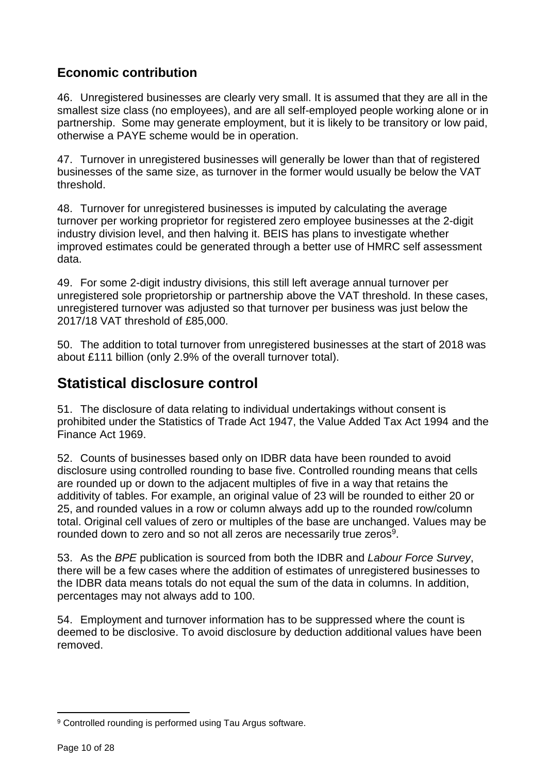## **Economic contribution**

46. Unregistered businesses are clearly very small. It is assumed that they are all in the smallest size class (no employees), and are all self-employed people working alone or in partnership. Some may generate employment, but it is likely to be transitory or low paid, otherwise a PAYE scheme would be in operation.

47. Turnover in unregistered businesses will generally be lower than that of registered businesses of the same size, as turnover in the former would usually be below the VAT threshold.

48. Turnover for unregistered businesses is imputed by calculating the average turnover per working proprietor for registered zero employee businesses at the 2-digit industry division level, and then halving it. BEIS has plans to investigate whether improved estimates could be generated through a better use of HMRC self assessment data.

49. For some 2-digit industry divisions, this still left average annual turnover per unregistered sole proprietorship or partnership above the VAT threshold. In these cases, unregistered turnover was adjusted so that turnover per business was just below the 2017/18 VAT threshold of £85,000.

50. The addition to total turnover from unregistered businesses at the start of 2018 was about £111 billion (only 2.9% of the overall turnover total).

## **Statistical disclosure control**

51. The disclosure of data relating to individual undertakings without consent is prohibited under the Statistics of Trade Act 1947, the Value Added Tax Act 1994 and the Finance Act 1969.

52. Counts of businesses based only on IDBR data have been rounded to avoid disclosure using controlled rounding to base five. Controlled rounding means that cells are rounded up or down to the adjacent multiples of five in a way that retains the additivity of tables. For example, an original value of 23 will be rounded to either 20 or 25, and rounded values in a row or column always add up to the rounded row/column total. Original cell values of zero or multiples of the base are unchanged. Values may be rounded down to zero and so not all zeros are necessarily true zeros $9$ .

53. As the *BPE* publication is sourced from both the IDBR and *Labour Force Survey*, there will be a few cases where the addition of estimates of unregistered businesses to the IDBR data means totals do not equal the sum of the data in columns. In addition, percentages may not always add to 100.

54. Employment and turnover information has to be suppressed where the count is deemed to be disclosive. To avoid disclosure by deduction additional values have been removed.

 $\overline{a}$ <sup>9</sup> Controlled rounding is performed using Tau Argus software.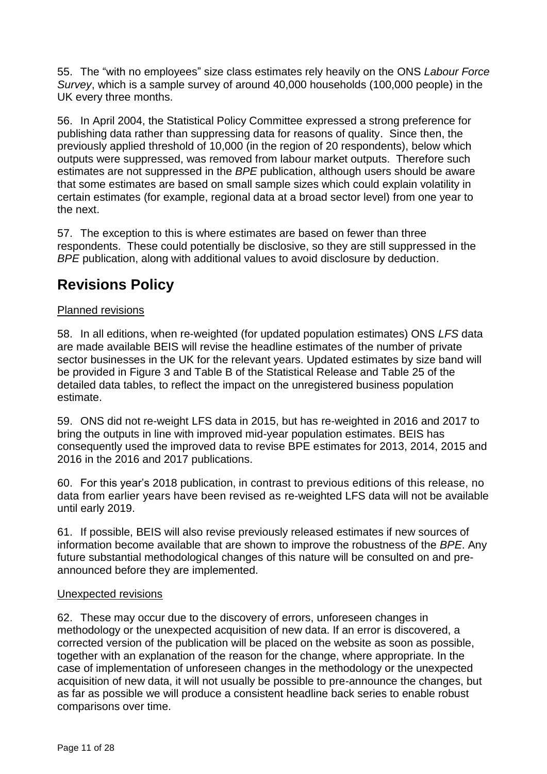55. The "with no employees" size class estimates rely heavily on the ONS *Labour Force Survey*, which is a sample survey of around 40,000 households (100,000 people) in the UK every three months.

56. In April 2004, the Statistical Policy Committee expressed a strong preference for publishing data rather than suppressing data for reasons of quality. Since then, the previously applied threshold of 10,000 (in the region of 20 respondents), below which outputs were suppressed, was removed from labour market outputs. Therefore such estimates are not suppressed in the *BPE* publication, although users should be aware that some estimates are based on small sample sizes which could explain volatility in certain estimates (for example, regional data at a broad sector level) from one year to the next.

57. The exception to this is where estimates are based on fewer than three respondents. These could potentially be disclosive, so they are still suppressed in the *BPE* publication, along with additional values to avoid disclosure by deduction.

## **Revisions Policy**

### Planned revisions

58. In all editions, when re-weighted (for updated population estimates) ONS *LFS* data are made available BEIS will revise the headline estimates of the number of private sector businesses in the UK for the relevant years. Updated estimates by size band will be provided in Figure 3 and Table B of the Statistical Release and Table 25 of the detailed data tables, to reflect the impact on the unregistered business population estimate.

59. ONS did not re-weight LFS data in 2015, but has re-weighted in 2016 and 2017 to bring the outputs in line with improved mid-year population estimates. BEIS has consequently used the improved data to revise BPE estimates for 2013, 2014, 2015 and 2016 in the 2016 and 2017 publications.

60. For this year's 2018 publication, in contrast to previous editions of this release, no data from earlier years have been revised as re-weighted LFS data will not be available until early 2019.

61. If possible, BEIS will also revise previously released estimates if new sources of information become available that are shown to improve the robustness of the *BPE*. Any future substantial methodological changes of this nature will be consulted on and preannounced before they are implemented.

#### Unexpected revisions

62. These may occur due to the discovery of errors, unforeseen changes in methodology or the unexpected acquisition of new data. If an error is discovered, a corrected version of the publication will be placed on the website as soon as possible, together with an explanation of the reason for the change, where appropriate. In the case of implementation of unforeseen changes in the methodology or the unexpected acquisition of new data, it will not usually be possible to pre-announce the changes, but as far as possible we will produce a consistent headline back series to enable robust comparisons over time.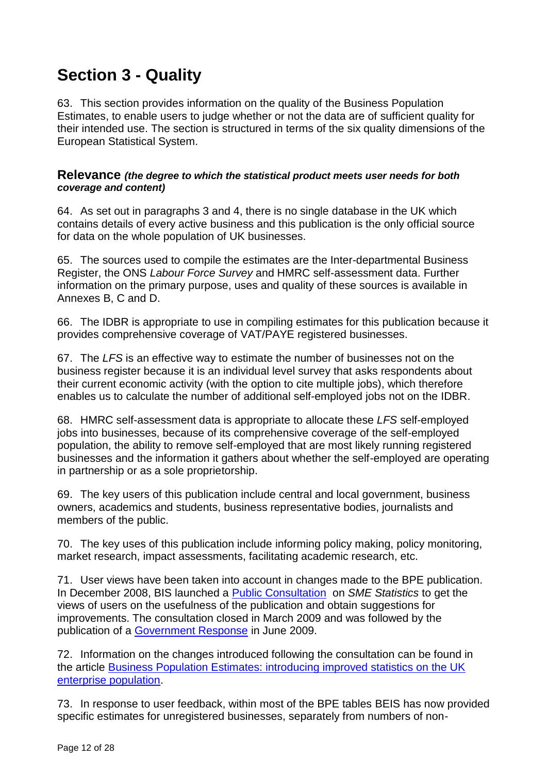# **Section 3 - Quality**

63. This section provides information on the quality of the Business Population Estimates, to enable users to judge whether or not the data are of sufficient quality for their intended use. The section is structured in terms of the six quality dimensions of the European Statistical System.

#### **Relevance** *(the degree to which the statistical product meets user needs for both coverage and content)*

64. As set out in paragraphs 3 and 4, there is no single database in the UK which contains details of every active business and this publication is the only official source for data on the whole population of UK businesses.

65. The sources used to compile the estimates are the Inter-departmental Business Register, the ONS *Labour Force Survey* and HMRC self-assessment data. Further information on the primary purpose, uses and quality of these sources is available in Annexes B, C and D.

66. The IDBR is appropriate to use in compiling estimates for this publication because it provides comprehensive coverage of VAT/PAYE registered businesses.

67. The *LFS* is an effective way to estimate the number of businesses not on the business register because it is an individual level survey that asks respondents about their current economic activity (with the option to cite multiple jobs), which therefore enables us to calculate the number of additional self-employed jobs not on the IDBR.

68. HMRC self-assessment data is appropriate to allocate these *LFS* self-employed jobs into businesses, because of its comprehensive coverage of the self-employed population, the ability to remove self-employed that are most likely running registered businesses and the information it gathers about whether the self-employed are operating in partnership or as a sole proprietorship.

69. The key users of this publication include central and local government, business owners, academics and students, business representative bodies, journalists and members of the public.

70. The key uses of this publication include informing policy making, policy monitoring, market research, impact assessments, facilitating academic research, etc.

71. User views have been taken into account in changes made to the BPE publication. In December 2008, BIS launched a [Public Consultation](http://webarchive.nationalarchives.gov.uk/20090609003228/http:/www.berr.gov.uk/whatwedo/enterprise_old/enterprisesmes/page49415.html) on *SME Statistics* to get the views of users on the usefulness of the publication and obtain suggestions for improvements. The consultation closed in March 2009 and was followed by the publication of a [Government Response](http://webarchive.nationalarchives.gov.uk/20090609003228/http:/www.berr.gov.uk/whatwedo/enterprise_old/enterprisesmes/page49415.html) in June 2009.

72. Information on the changes introduced following the consultation can be found in the article [Business Population Estimates: introducing improved statistics on the UK](http://www.ons.gov.uk/ons/rel/elmr/economic-and-labour-market-review/april-2011/economic-and-labour-market-review.pdf)  [enterprise population.](http://www.ons.gov.uk/ons/rel/elmr/economic-and-labour-market-review/april-2011/economic-and-labour-market-review.pdf)

73. In response to user feedback, within most of the BPE tables BEIS has now provided specific estimates for unregistered businesses, separately from numbers of non-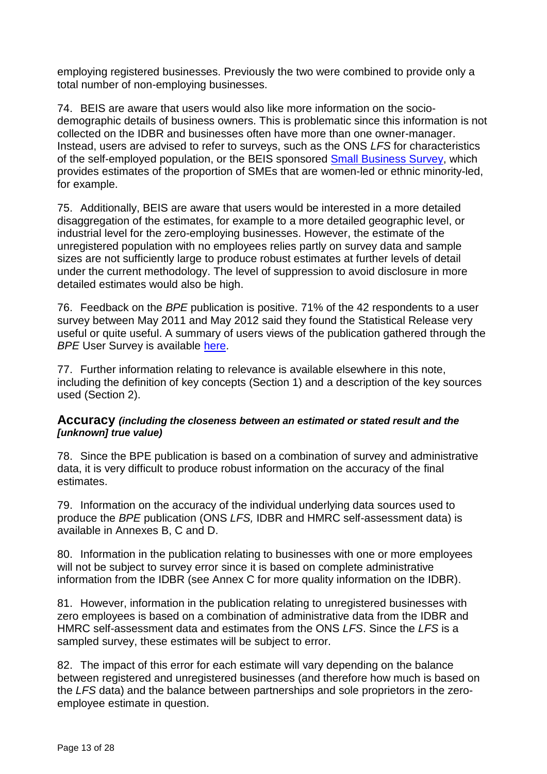employing registered businesses. Previously the two were combined to provide only a total number of non-employing businesses.

74. BEIS are aware that users would also like more information on the sociodemographic details of business owners. This is problematic since this information is not collected on the IDBR and businesses often have more than one owner-manager. Instead, users are advised to refer to surveys, such as the ONS *LFS* for characteristics of the self-employed population, or the BEIS sponsored [Small Business Survey,](https://www.gov.uk/government/collections/small-business-survey-reports) which provides estimates of the proportion of SMEs that are women-led or ethnic minority-led, for example.

75. Additionally, BEIS are aware that users would be interested in a more detailed disaggregation of the estimates, for example to a more detailed geographic level, or industrial level for the zero-employing businesses. However, the estimate of the unregistered population with no employees relies partly on survey data and sample sizes are not sufficiently large to produce robust estimates at further levels of detail under the current methodology. The level of suppression to avoid disclosure in more detailed estimates would also be high.

76. Feedback on the *BPE* publication is positive. 71% of the 42 respondents to a user survey between May 2011 and May 2012 said they found the Statistical Release very useful or quite useful. A summary of users views of the publication gathered through the **BPE User Survey is available [here.](http://webarchive.nationalarchives.gov.uk/20150605232409/https:/www.gov.uk/government/uploads/system/uploads/attachment_data/file/16414/business_population_estimates_user_survey_results.pdf)** 

77. Further information relating to relevance is available elsewhere in this note, including the definition of key concepts (Section 1) and a description of the key sources used (Section 2).

#### **Accuracy** *(including the closeness between an estimated or stated result and the [unknown] true value)*

78. Since the BPE publication is based on a combination of survey and administrative data, it is very difficult to produce robust information on the accuracy of the final estimates.

79. Information on the accuracy of the individual underlying data sources used to produce the *BPE* publication (ONS *LFS,* IDBR and HMRC self-assessment data) is available in Annexes B, C and D.

80. Information in the publication relating to businesses with one or more employees will not be subject to survey error since it is based on complete administrative information from the IDBR (see Annex C for more quality information on the IDBR).

81. However, information in the publication relating to unregistered businesses with zero employees is based on a combination of administrative data from the IDBR and HMRC self-assessment data and estimates from the ONS *LFS*. Since the *LFS* is a sampled survey, these estimates will be subject to error.

82. The impact of this error for each estimate will vary depending on the balance between registered and unregistered businesses (and therefore how much is based on the *LFS* data) and the balance between partnerships and sole proprietors in the zeroemployee estimate in question.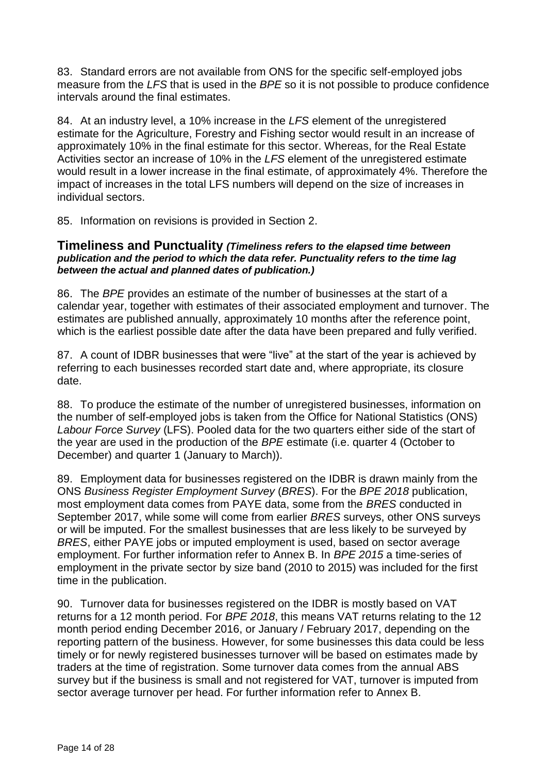83. Standard errors are not available from ONS for the specific self-employed jobs measure from the *LFS* that is used in the *BPE* so it is not possible to produce confidence intervals around the final estimates.

84. At an industry level, a 10% increase in the *LFS* element of the unregistered estimate for the Agriculture, Forestry and Fishing sector would result in an increase of approximately 10% in the final estimate for this sector. Whereas, for the Real Estate Activities sector an increase of 10% in the *LFS* element of the unregistered estimate would result in a lower increase in the final estimate, of approximately 4%. Therefore the impact of increases in the total LFS numbers will depend on the size of increases in individual sectors.

85. Information on revisions is provided in Section 2.

#### **Timeliness and Punctuality** *(Timeliness refers to the elapsed time between publication and the period to which the data refer. Punctuality refers to the time lag between the actual and planned dates of publication.)*

86. The *BPE* provides an estimate of the number of businesses at the start of a calendar year, together with estimates of their associated employment and turnover. The estimates are published annually, approximately 10 months after the reference point, which is the earliest possible date after the data have been prepared and fully verified.

87. A count of IDBR businesses that were "live" at the start of the year is achieved by referring to each businesses recorded start date and, where appropriate, its closure date.

88. To produce the estimate of the number of unregistered businesses, information on the number of self-employed jobs is taken from the Office for National Statistics (ONS) *Labour Force Survey* (LFS). Pooled data for the two quarters either side of the start of the year are used in the production of the *BPE* estimate (i.e. quarter 4 (October to December) and quarter 1 (January to March)).

89. Employment data for businesses registered on the IDBR is drawn mainly from the ONS *Business Register Employment Survey* (*BRES*). For the *BPE 2018* publication, most employment data comes from PAYE data, some from the *BRES* conducted in September 2017, while some will come from earlier *BRES* surveys, other ONS surveys or will be imputed. For the smallest businesses that are less likely to be surveyed by *BRES*, either PAYE jobs or imputed employment is used, based on sector average employment. For further information refer to Annex B. In *BPE 2015* a time-series of employment in the private sector by size band (2010 to 2015) was included for the first time in the publication.

90. Turnover data for businesses registered on the IDBR is mostly based on VAT returns for a 12 month period. For *BPE 2018*, this means VAT returns relating to the 12 month period ending December 2016, or January / February 2017, depending on the reporting pattern of the business. However, for some businesses this data could be less timely or for newly registered businesses turnover will be based on estimates made by traders at the time of registration. Some turnover data comes from the annual ABS survey but if the business is small and not registered for VAT, turnover is imputed from sector average turnover per head. For further information refer to Annex B.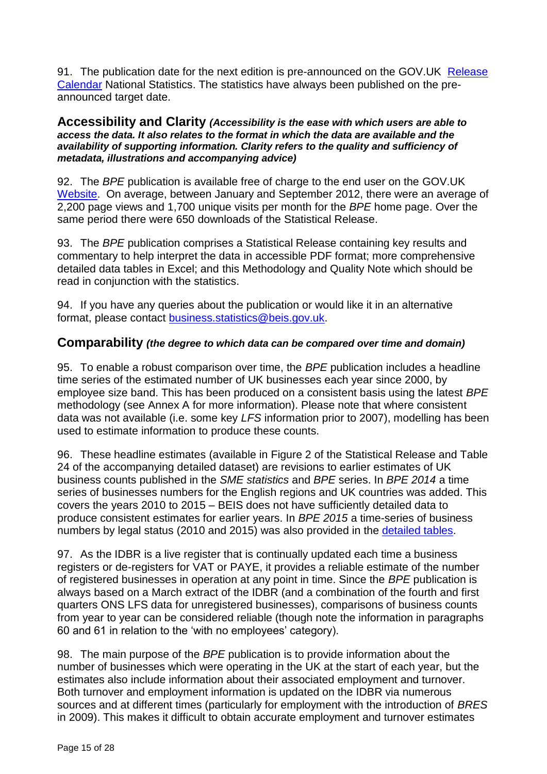91. The publication date for the next edition is pre-announced on the GOV.UK Release [Calendar](https://www.gov.uk/government/publications) National Statistics. The statistics have always been published on the preannounced target date.

#### **Accessibility and Clarity** *(Accessibility is the ease with which users are able to access the data. It also relates to the format in which the data are available and the availability of supporting information. Clarity refers to the quality and sufficiency of metadata, illustrations and accompanying advice)*

92. The *BPE* publication is available free of charge to the end user on the GOV.UK [Website.](https://www.gov.uk/government/organisations/department-for-business-innovation-skills/series/business-population-estimates) On average, between January and September 2012, there were an average of 2,200 page views and 1,700 unique visits per month for the *BPE* home page. Over the same period there were 650 downloads of the Statistical Release.

93. The *BPE* publication comprises a Statistical Release containing key results and commentary to help interpret the data in accessible PDF format; more comprehensive detailed data tables in Excel; and this Methodology and Quality Note which should be read in conjunction with the statistics.

94. If you have any queries about the publication or would like it in an alternative format, please contact [business.statistics@beis.gov.uk.](mailto:business.statistics@beis.gov.uk)

#### **Comparability** *(the degree to which data can be compared over time and domain)*

95. To enable a robust comparison over time, the *BPE* publication includes a headline time series of the estimated number of UK businesses each year since 2000, by employee size band. This has been produced on a consistent basis using the latest *BPE*  methodology (see Annex A for more information). Please note that where consistent data was not available (i.e. some key *LFS* information prior to 2007), modelling has been used to estimate information to produce these counts.

96. These headline estimates (available in Figure 2 of the Statistical Release and Table 24 of the accompanying detailed dataset) are revisions to earlier estimates of UK business counts published in the *SME statistics* and *BPE* series. In *BPE 2014* a time series of businesses numbers for the English regions and UK countries was added. This covers the years 2010 to 2015 – BEIS does not have sufficiently detailed data to produce consistent estimates for earlier years. In *BPE 2015* a time-series of business numbers by legal status (2010 and 2015) was also provided in the [detailed tables.](https://www.gov.uk/government/statistics/business-population-estimates-2017)

97. As the IDBR is a live register that is continually updated each time a business registers or de-registers for VAT or PAYE, it provides a reliable estimate of the number of registered businesses in operation at any point in time. Since the *BPE* publication is always based on a March extract of the IDBR (and a combination of the fourth and first quarters ONS LFS data for unregistered businesses), comparisons of business counts from year to year can be considered reliable (though note the information in paragraphs 60 and 61 in relation to the 'with no employees' category).

98. The main purpose of the *BPE* publication is to provide information about the number of businesses which were operating in the UK at the start of each year, but the estimates also include information about their associated employment and turnover. Both turnover and employment information is updated on the IDBR via numerous sources and at different times (particularly for employment with the introduction of *BRES* in 2009). This makes it difficult to obtain accurate employment and turnover estimates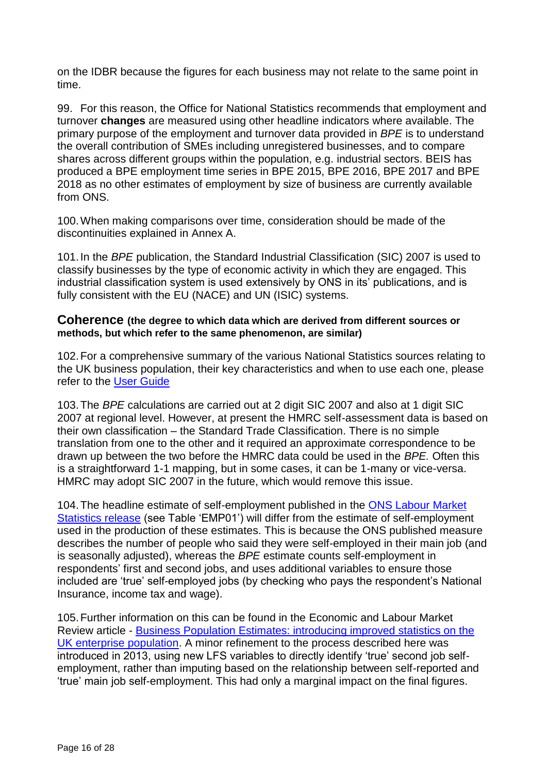on the IDBR because the figures for each business may not relate to the same point in time.

99. For this reason, the Office for National Statistics recommends that employment and turnover **changes** are measured using other headline indicators where available. The primary purpose of the employment and turnover data provided in *BPE* is to understand the overall contribution of SMEs including unregistered businesses, and to compare shares across different groups within the population, e.g. industrial sectors. BEIS has produced a BPE employment time series in BPE 2015, BPE 2016, BPE 2017 and BPE 2018 as no other estimates of employment by size of business are currently available from ONS.

100.When making comparisons over time, consideration should be made of the discontinuities explained in Annex A.

101.In the *BPE* publication, the Standard Industrial Classification (SIC) 2007 is used to classify businesses by the type of economic activity in which they are engaged. This industrial classification system is used extensively by ONS in its' publications, and is fully consistent with the EU (NACE) and UN (ISIC) systems.

#### **Coherence (the degree to which data which are derived from different sources or methods, but which refer to the same phenomenon, are similar)**

102.For a comprehensive summary of the various National Statistics sources relating to the UK business population, their key characteristics and when to use each one, please refer to the [User Guide](https://www.gov.uk/government/uploads/system/uploads/attachment_data/file/16418/guide_to_the_uk_business_population_and_demography.pdf)

103.The *BPE* calculations are carried out at 2 digit SIC 2007 and also at 1 digit SIC 2007 at regional level. However, at present the HMRC self-assessment data is based on their own classification – the Standard Trade Classification. There is no simple translation from one to the other and it required an approximate correspondence to be drawn up between the two before the HMRC data could be used in the *BPE.* Often this is a straightforward 1-1 mapping, but in some cases, it can be 1-many or vice-versa. HMRC may adopt SIC 2007 in the future, which would remove this issue.

104.The headline estimate of self-employment published in the [ONS Labour Market](http://www.ons.gov.uk/employmentandlabourmarket/peopleinwork/employmentandemployeetypes/bulletins/uklabourmarket/previousReleases)  [Statistics](http://www.ons.gov.uk/employmentandlabourmarket/peopleinwork/employmentandemployeetypes/bulletins/uklabourmarket/previousReleases) release (see Table 'EMP01') will differ from the estimate of self-employment used in the production of these estimates. This is because the ONS published measure describes the number of people who said they were self-employed in their main job (and is seasonally adjusted), whereas the *BPE* estimate counts self-employment in respondents' first and second jobs, and uses additional variables to ensure those included are 'true' self-employed jobs (by checking who pays the respondent's National Insurance, income tax and wage).

105.Further information on this can be found in the Economic and Labour Market Review article - [Business Population Estimates: introducing improved statistics on the](http://www.ons.gov.uk/ons/rel/elmr/economic-and-labour-market-review/april-2011/economic-and-labour-market-review.pdf)  [UK enterprise population.](http://www.ons.gov.uk/ons/rel/elmr/economic-and-labour-market-review/april-2011/economic-and-labour-market-review.pdf) A minor refinement to the process described here was introduced in 2013, using new LFS variables to directly identify 'true' second job selfemployment, rather than imputing based on the relationship between self-reported and 'true' main job self-employment. This had only a marginal impact on the final figures.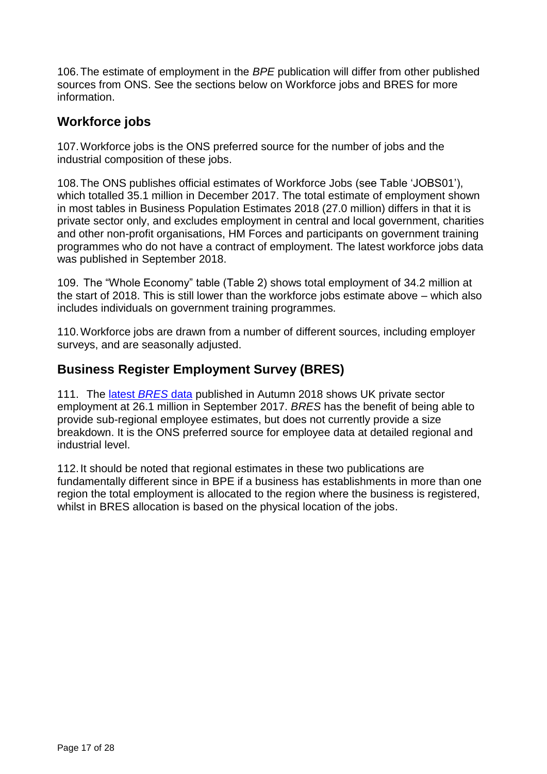106.The estimate of employment in the *BPE* publication will differ from other published sources from ONS. See the sections below on Workforce jobs and BRES for more information.

## **Workforce jobs**

107.Workforce jobs is the ONS preferred source for the number of jobs and the industrial composition of these jobs.

108.The ONS publishes official estimates of [Workforce Jobs](http://www.ons.gov.uk/ons/rel/lms/labour-market-statistics/august-2015/table-jobs02.xls) (see Table 'JOBS01'), which totalled 35.1 million in December 2017. The total estimate of employment shown in most tables in Business Population Estimates 2018 (27.0 million) differs in that it is private sector only, and excludes employment in central and local government, charities and other non-profit organisations, HM Forces and participants on government training programmes who do not have a contract of employment. The latest workforce jobs data was published in September 2018.

109. The "Whole Economy" table (Table 2) shows total employment of 34.2 million at the start of 2018. This is still lower than the workforce jobs estimate above – which also includes individuals on government training programmes.

110.Workforce jobs are drawn from a number of different sources, including employer surveys, and are seasonally adjusted.

## **Business Register Employment Survey (BRES)**

111. The [latest](https://www.ons.gov.uk/employmentandlabourmarket/peopleinwork/employmentandemployeetypes/bulletins/businessregisterandemploymentsurveybresprovisionalresults/provisionalresults2016revisedresults2015) *BRES* data published in Autumn 2018 shows UK private sector employment at 26.1 million in September 2017. *BRES* has the benefit of being able to provide sub-regional employee estimates, but does not currently provide a size breakdown. It is the ONS preferred source for employee data at detailed regional and industrial level.

112.It should be noted that regional estimates in these two publications are fundamentally different since in BPE if a business has establishments in more than one region the total employment is allocated to the region where the business is registered, whilst in BRES allocation is based on the physical location of the jobs.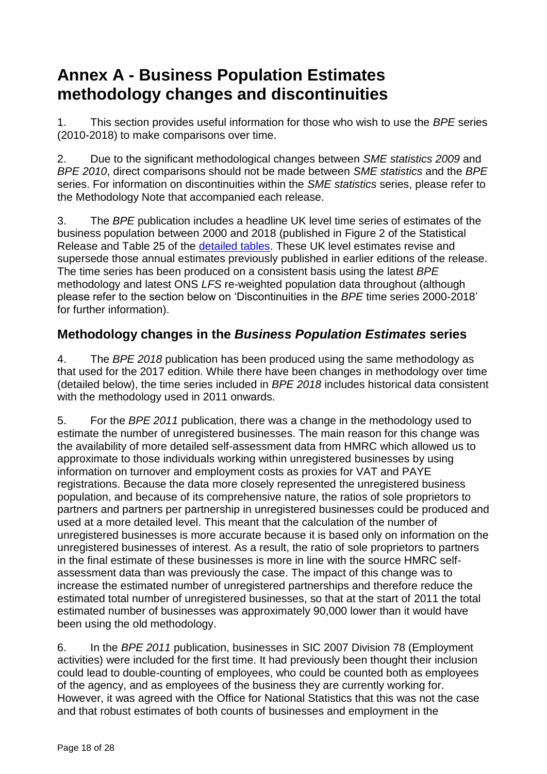# **Annex A - Business Population Estimates methodology changes and discontinuities**

1. This section provides useful information for those who wish to use the *BPE* series (2010-2018) to make comparisons over time.

2. Due to the significant methodological changes between *SME statistics 2009* and *BPE 2010*, direct comparisons should not be made between *SME statistics* and the *BPE* series. For information on discontinuities within the *SME statistics* series, please refer to the Methodology Note that accompanied each release.

3. The *BPE* publication includes a headline UK level time series of estimates of the business population between 2000 and 2018 (published in Figure 2 of the Statistical Release and Table 25 of the [detailed tables.](https://www.gov.uk/government/statistics/business-population-estimates-2018) These UK level estimates revise and supersede those annual estimates previously published in earlier editions of the release. The time series has been produced on a consistent basis using the latest *BPE*  methodology and latest ONS *LFS* re-weighted population data throughout (although please refer to the section below on 'Discontinuities in the *BPE* time series 2000-2018' for further information).

## **Methodology changes in the** *Business Population Estimates* **series**

4. The *BPE 2018* publication has been produced using the same methodology as that used for the 2017 edition. While there have been changes in methodology over time (detailed below), the time series included in *BPE 2018* includes historical data consistent with the methodology used in 2011 onwards.

5. For the *BPE 2011* publication, there was a change in the methodology used to estimate the number of unregistered businesses. The main reason for this change was the availability of more detailed self-assessment data from HMRC which allowed us to approximate to those individuals working within unregistered businesses by using information on turnover and employment costs as proxies for VAT and PAYE registrations. Because the data more closely represented the unregistered business population, and because of its comprehensive nature, the ratios of sole proprietors to partners and partners per partnership in unregistered businesses could be produced and used at a more detailed level. This meant that the calculation of the number of unregistered businesses is more accurate because it is based only on information on the unregistered businesses of interest. As a result, the ratio of sole proprietors to partners in the final estimate of these businesses is more in line with the source HMRC selfassessment data than was previously the case. The impact of this change was to increase the estimated number of unregistered partnerships and therefore reduce the estimated total number of unregistered businesses, so that at the start of 2011 the total estimated number of businesses was approximately 90,000 lower than it would have been using the old methodology.

6. In the *BPE 2011* publication, businesses in SIC 2007 Division 78 (Employment activities) were included for the first time. It had previously been thought their inclusion could lead to double-counting of employees, who could be counted both as employees of the agency, and as employees of the business they are currently working for. However, it was agreed with the Office for National Statistics that this was not the case and that robust estimates of both counts of businesses and employment in the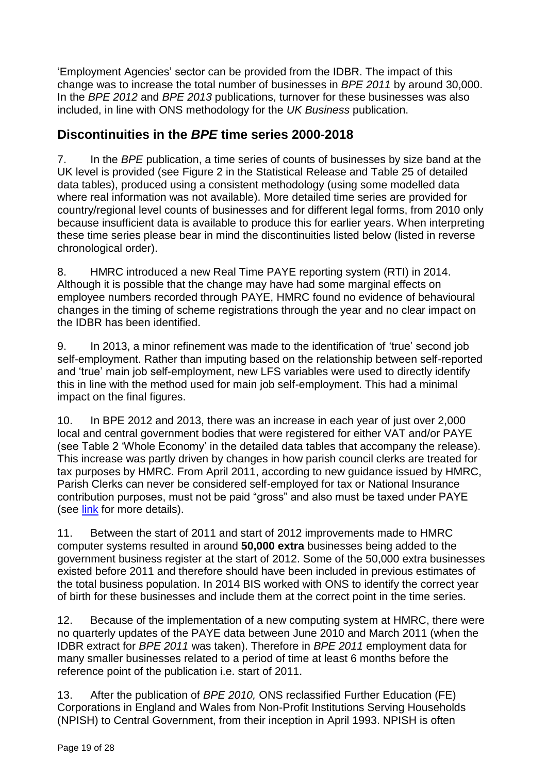'Employment Agencies' sector can be provided from the IDBR. The impact of this change was to increase the total number of businesses in *BPE 2011* by around 30,000. In the *BPE 2012* and *BPE 2013* publications, turnover for these businesses was also included, in line with ONS methodology for the *UK Business* publication.

## **Discontinuities in the** *BPE* **time series 2000-2018**

7. In the *BPE* publication, a time series of counts of businesses by size band at the UK level is provided (see Figure 2 in the Statistical Release and Table 25 of detailed data tables), produced using a consistent methodology (using some modelled data where real information was not available). More detailed time series are provided for country/regional level counts of businesses and for different legal forms, from 2010 only because insufficient data is available to produce this for earlier years. When interpreting these time series please bear in mind the discontinuities listed below (listed in reverse chronological order).

8. HMRC introduced a new Real Time PAYE reporting system (RTI) in 2014. Although it is possible that the change may have had some marginal effects on employee numbers recorded through PAYE, HMRC found no evidence of behavioural changes in the timing of scheme registrations through the year and no clear impact on the IDBR has been identified.

9. In 2013, a minor refinement was made to the identification of 'true' second job self-employment. Rather than imputing based on the relationship between self-reported and 'true' main job self-employment, new LFS variables were used to directly identify this in line with the method used for main job self-employment. This had a minimal impact on the final figures.

10. In BPE 2012 and 2013, there was an increase in each year of just over 2,000 local and central government bodies that were registered for either VAT and/or PAYE (see Table 2 'Whole Economy' in the detailed data tables that accompany the release). This increase was partly driven by changes in how parish council clerks are treated for tax purposes by HMRC. From April 2011, according to new guidance issued by HMRC, Parish Clerks can never be considered self-employed for tax or National Insurance contribution purposes, must not be paid "gross" and also must be taxed under PAYE (see [link](http://www.hmrc.gov.uk/manuals/eimanual/eim67300.htm) for more details).

11. Between the start of 2011 and start of 2012 improvements made to HMRC computer systems resulted in around **50,000 extra** businesses being added to the government business register at the start of 2012. Some of the 50,000 extra businesses existed before 2011 and therefore should have been included in previous estimates of the total business population. In 2014 BIS worked with ONS to identify the correct year of birth for these businesses and include them at the correct point in the time series.

12. Because of the implementation of a new computing system at HMRC, there were no quarterly updates of the PAYE data between June 2010 and March 2011 (when the IDBR extract for *BPE 2011* was taken). Therefore in *BPE 2011* employment data for many smaller businesses related to a period of time at least 6 months before the reference point of the publication i.e. start of 2011.

13. After the publication of *BPE 2010,* ONS reclassified Further Education (FE) Corporations in England and Wales from Non-Profit Institutions Serving Households (NPISH) to Central Government, from their inception in April 1993. NPISH is often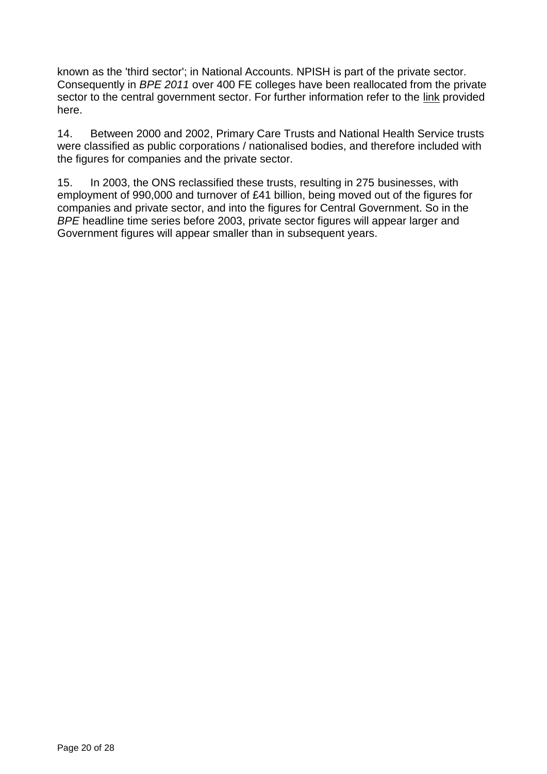known as the 'third sector'; in National Accounts. NPISH is part of the private sector. Consequently in *BPE 2011* over 400 FE colleges have been reallocated from the private sector to the central government sector. For further information refer to the [link](http://www.ons.gov.uk/ons/guide-method/classifications/na-classifications/classification-articles/class/index.html) provided here.

14. Between 2000 and 2002, Primary Care Trusts and National Health Service trusts were classified as public corporations / nationalised bodies, and therefore included with the figures for companies and the private sector.

15. In 2003, the ONS reclassified these trusts, resulting in 275 businesses, with employment of 990,000 and turnover of £41 billion, being moved out of the figures for companies and private sector, and into the figures for Central Government. So in the *BPE* headline time series before 2003, private sector figures will appear larger and Government figures will appear smaller than in subsequent years.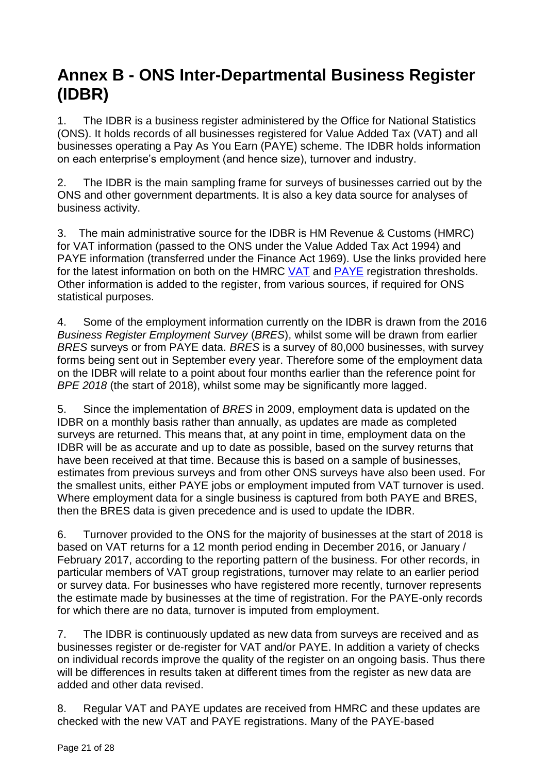# **Annex B - ONS Inter-Departmental Business Register (IDBR)**

1. The IDBR is a business register administered by the Office for National Statistics (ONS). It holds records of all businesses registered for Value Added Tax (VAT) and all businesses operating a Pay As You Earn (PAYE) scheme. The IDBR holds information on each enterprise's employment (and hence size), turnover and industry.

2. The IDBR is the main sampling frame for surveys of businesses carried out by the ONS and other government departments. It is also a key data source for analyses of business activity.

3. The main administrative source for the IDBR is HM Revenue & Customs (HMRC) for VAT information (passed to the ONS under the Value Added Tax Act 1994) and PAYE information (transferred under the Finance Act 1969). Use the links provided here for the latest information on both on the HMRC [VAT](http://www.hmrc.gov.uk/vat/forms-rates/rates/rates-thresholds.htm) and [PAYE](http://www.hmrc.gov.uk/paye/rates-thresholds.htm) registration thresholds. Other information is added to the register, from various sources, if required for ONS statistical purposes.

4. Some of the employment information currently on the IDBR is drawn from the 2016 *Business Register Employment Survey* (*BRES*), whilst some will be drawn from earlier *BRES* surveys or from PAYE data. *BRES* is a survey of 80,000 businesses, with survey forms being sent out in September every year. Therefore some of the employment data on the IDBR will relate to a point about four months earlier than the reference point for *BPE 2018* (the start of 2018), whilst some may be significantly more lagged.

5. Since the implementation of *BRES* in 2009, employment data is updated on the IDBR on a monthly basis rather than annually, as updates are made as completed surveys are returned. This means that, at any point in time, employment data on the IDBR will be as accurate and up to date as possible, based on the survey returns that have been received at that time. Because this is based on a sample of businesses, estimates from previous surveys and from other ONS surveys have also been used. For the smallest units, either PAYE jobs or employment imputed from VAT turnover is used. Where employment data for a single business is captured from both PAYE and BRES, then the BRES data is given precedence and is used to update the IDBR.

6. Turnover provided to the ONS for the majority of businesses at the start of 2018 is based on VAT returns for a 12 month period ending in December 2016, or January / February 2017, according to the reporting pattern of the business. For other records, in particular members of VAT group registrations, turnover may relate to an earlier period or survey data. For businesses who have registered more recently, turnover represents the estimate made by businesses at the time of registration. For the PAYE-only records for which there are no data, turnover is imputed from employment.

7. The IDBR is continuously updated as new data from surveys are received and as businesses register or de-register for VAT and/or PAYE. In addition a variety of checks on individual records improve the quality of the register on an ongoing basis. Thus there will be differences in results taken at different times from the register as new data are added and other data revised.

8. Regular VAT and PAYE updates are received from HMRC and these updates are checked with the new VAT and PAYE registrations. Many of the PAYE-based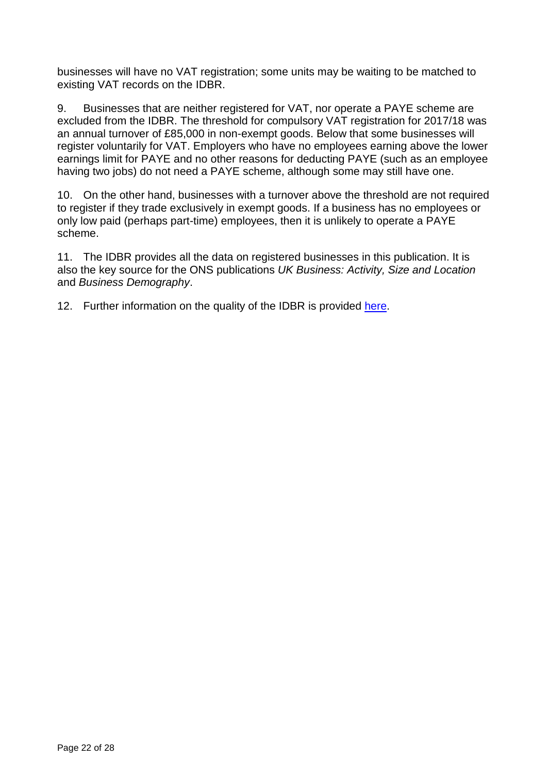businesses will have no VAT registration; some units may be waiting to be matched to existing VAT records on the IDBR.

9. Businesses that are neither registered for VAT, nor operate a PAYE scheme are excluded from the IDBR. The threshold for compulsory VAT registration for 2017/18 was an annual turnover of £85,000 in non-exempt goods. Below that some businesses will register voluntarily for VAT. Employers who have no employees earning above the lower earnings limit for PAYE and no other reasons for deducting PAYE (such as an employee having two jobs) do not need a PAYE scheme, although some may still have one.

10. On the other hand, businesses with a turnover above the threshold are not required to register if they trade exclusively in exempt goods. If a business has no employees or only low paid (perhaps part-time) employees, then it is unlikely to operate a PAYE scheme.

11. The IDBR provides all the data on registered businesses in this publication. It is also the key source for the ONS publications *UK Business: Activity, Size and Location* and *Business Demography*.

12. Further information on the quality of the IDBR is provided [here.](http://www.ons.gov.uk/ons/about-ons/products-and-services/idbr/index.html)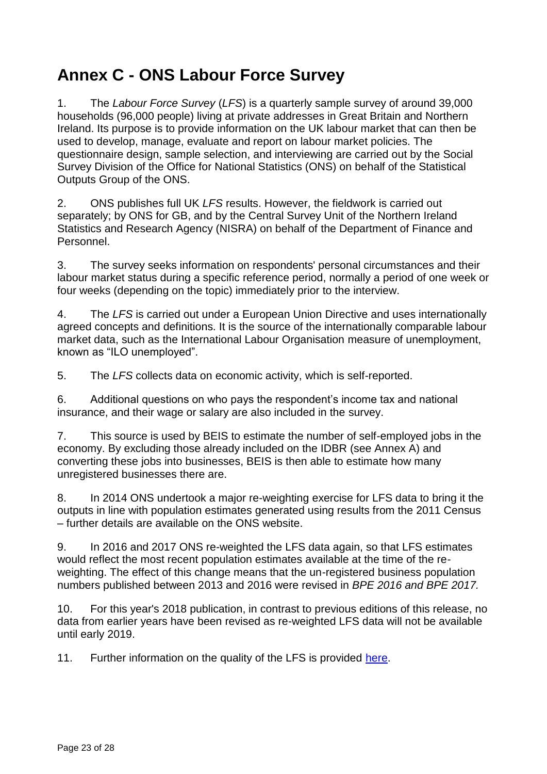# **Annex C - ONS Labour Force Survey**

1. The *Labour Force Survey* (*LFS*) is a quarterly sample survey of around 39,000 households (96,000 people) living at private addresses in Great Britain and Northern Ireland. Its purpose is to provide information on the UK labour market that can then be used to develop, manage, evaluate and report on labour market policies. The questionnaire design, sample selection, and interviewing are carried out by the Social Survey Division of the Office for National Statistics (ONS) on behalf of the Statistical Outputs Group of the ONS.

2. ONS publishes full UK *LFS* results. However, the fieldwork is carried out separately; by ONS for GB, and by the Central Survey Unit of the Northern Ireland Statistics and Research Agency (NISRA) on behalf of the Department of Finance and Personnel.

3. The survey seeks information on respondents' personal circumstances and their labour market status during a specific reference period, normally a period of one week or four weeks (depending on the topic) immediately prior to the interview.

4. The *LFS* is carried out under a European Union Directive and uses internationally agreed concepts and definitions. It is the source of the internationally comparable labour market data, such as the International Labour Organisation measure of unemployment, known as "ILO unemployed".

5. The *LFS* collects data on economic activity, which is self-reported.

6. Additional questions on who pays the respondent's income tax and national insurance, and their wage or salary are also included in the survey.

7. This source is used by BEIS to estimate the number of self-employed jobs in the economy. By excluding those already included on the IDBR (see Annex A) and converting these jobs into businesses, BEIS is then able to estimate how many unregistered businesses there are.

8. In 2014 ONS undertook a major re-weighting exercise for LFS data to bring it the outputs in line with population estimates generated using results from the 2011 Census – further details are available on the ONS website.

9. In 2016 and 2017 ONS re-weighted the LFS data again, so that LFS estimates would reflect the most recent population estimates available at the time of the reweighting. The effect of this change means that the un-registered business population numbers published between 2013 and 2016 were revised in *BPE 2016 and BPE 2017.*

10. For this year's 2018 publication, in contrast to previous editions of this release, no data from earlier years have been revised as re-weighted LFS data will not be available until early 2019.

11. Further information on the quality of the LFS is provided [here.](https://www.ons.gov.uk/employmentandlabourmarket/peopleinwork/employmentandemployeetypes/methodologies/labourforcesurveyperformanceandqualitymonitoringreports)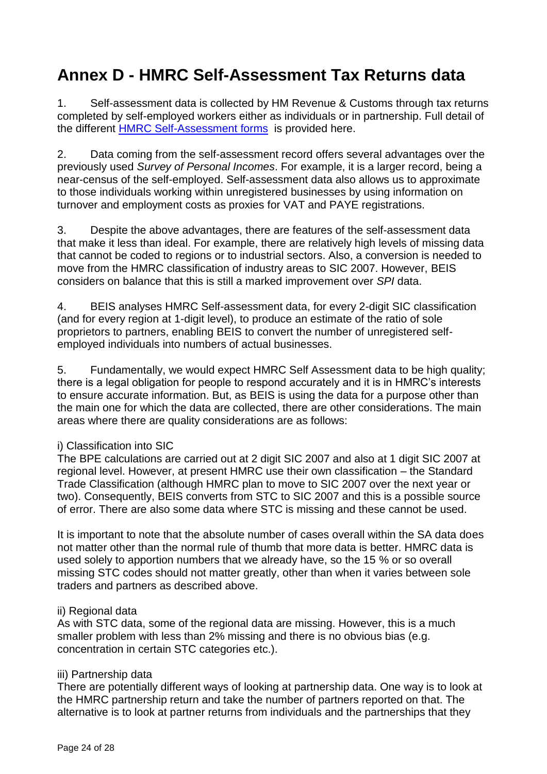# **Annex D - HMRC Self-Assessment Tax Returns data**

1. Self-assessment data is collected by HM Revenue & Customs through tax returns completed by self-employed workers either as individuals or in partnership. Full detail of the different [HMRC Self-Assessment](https://www.gov.uk/self-assessment-forms-and-helpsheets) forms is provided here.

2. Data coming from the self-assessment record offers several advantages over the previously used *Survey of Personal Incomes*. For example, it is a larger record, being a near-census of the self-employed. Self-assessment data also allows us to approximate to those individuals working within unregistered businesses by using information on turnover and employment costs as proxies for VAT and PAYE registrations.

3. Despite the above advantages, there are features of the self-assessment data that make it less than ideal. For example, there are relatively high levels of missing data that cannot be coded to regions or to industrial sectors. Also, a conversion is needed to move from the HMRC classification of industry areas to SIC 2007. However, BEIS considers on balance that this is still a marked improvement over *SPI* data.

4. BEIS analyses HMRC Self-assessment data, for every 2-digit SIC classification (and for every region at 1-digit level), to produce an estimate of the ratio of sole proprietors to partners, enabling BEIS to convert the number of unregistered selfemployed individuals into numbers of actual businesses.

5. Fundamentally, we would expect HMRC Self Assessment data to be high quality; there is a legal obligation for people to respond accurately and it is in HMRC's interests to ensure accurate information. But, as BEIS is using the data for a purpose other than the main one for which the data are collected, there are other considerations. The main areas where there are quality considerations are as follows:

#### i) Classification into SIC

The BPE calculations are carried out at 2 digit SIC 2007 and also at 1 digit SIC 2007 at regional level. However, at present HMRC use their own classification – the Standard Trade Classification (although HMRC plan to move to SIC 2007 over the next year or two). Consequently, BEIS converts from STC to SIC 2007 and this is a possible source of error. There are also some data where STC is missing and these cannot be used.

It is important to note that the absolute number of cases overall within the SA data does not matter other than the normal rule of thumb that more data is better. HMRC data is used solely to apportion numbers that we already have, so the 15 % or so overall missing STC codes should not matter greatly, other than when it varies between sole traders and partners as described above.

#### ii) Regional data

As with STC data, some of the regional data are missing. However, this is a much smaller problem with less than 2% missing and there is no obvious bias (e.g. concentration in certain STC categories etc.).

#### iii) Partnership data

There are potentially different ways of looking at partnership data. One way is to look at the HMRC partnership return and take the number of partners reported on that. The alternative is to look at partner returns from individuals and the partnerships that they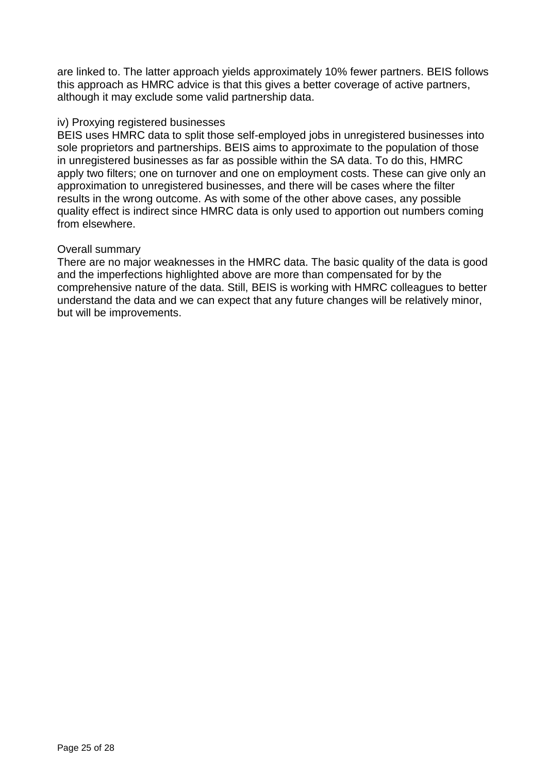are linked to. The latter approach yields approximately 10% fewer partners. BEIS follows this approach as HMRC advice is that this gives a better coverage of active partners, although it may exclude some valid partnership data.

#### iv) Proxying registered businesses

BEIS uses HMRC data to split those self-employed jobs in unregistered businesses into sole proprietors and partnerships. BEIS aims to approximate to the population of those in unregistered businesses as far as possible within the SA data. To do this, HMRC apply two filters; one on turnover and one on employment costs. These can give only an approximation to unregistered businesses, and there will be cases where the filter results in the wrong outcome. As with some of the other above cases, any possible quality effect is indirect since HMRC data is only used to apportion out numbers coming from elsewhere.

#### Overall summary

There are no major weaknesses in the HMRC data. The basic quality of the data is good and the imperfections highlighted above are more than compensated for by the comprehensive nature of the data. Still, BEIS is working with HMRC colleagues to better understand the data and we can expect that any future changes will be relatively minor, but will be improvements.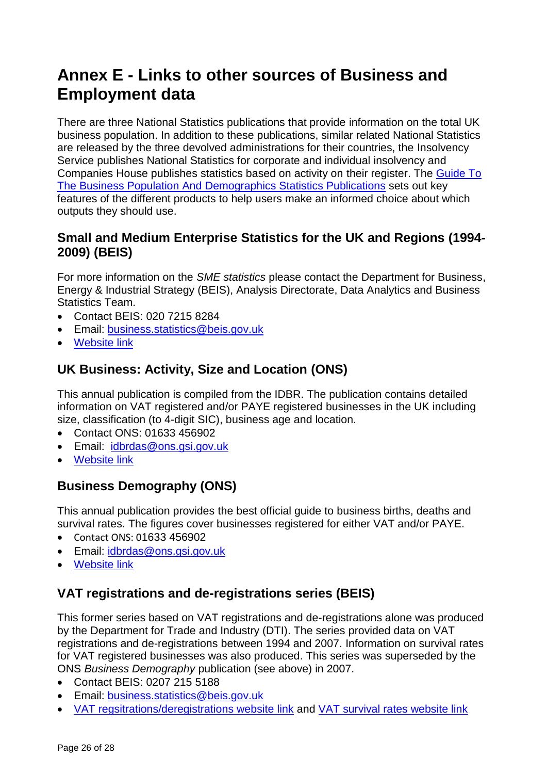# **Annex E - Links to other sources of Business and Employment data**

There are three National Statistics publications that provide information on the total UK business population. In addition to these publications, similar related National Statistics are released by the three devolved administrations for their countries, the Insolvency Service publishes National Statistics for corporate and individual insolvency and Companies House publishes statistics based on activity on their register. The [Guide To](https://www.gov.uk/government/uploads/system/uploads/attachment_data/file/16418/guide_to_the_uk_business_population_and_demography.pdf)  The Business Population And [Demographics Statistics Publications](https://www.gov.uk/government/uploads/system/uploads/attachment_data/file/16418/guide_to_the_uk_business_population_and_demography.pdf) sets out key features of the different products to help users make an informed choice about which outputs they should use.

## **Small and Medium Enterprise Statistics for the UK and Regions (1994- 2009) (BEIS)**

For more information on the *SME statistics* please contact the Department for Business, Energy & Industrial Strategy (BEIS), Analysis Directorate, Data Analytics and Business Statistics Team.

- Contact BEIS: 020 7215 8284
- Email: [business.statistics@beis.gov.uk](mailto:business.statistics@beis.gov.uk)
- [Website link](http://webarchive.nationalarchives.gov.uk/20110920151722/http:/stats.bis.gov.uk/ed/sme/index.htm)

## **UK Business: Activity, Size and Location (ONS)**

This annual publication is compiled from the IDBR. The publication contains detailed information on VAT registered and/or PAYE registered businesses in the UK including size, classification (to 4-digit SIC), business age and location.

- Contact ONS: 01633 456902
- Email: [idbrdas@ons.gsi.gov.uk](mailto:idbrdas@ons.gsi.gov.uk)
- [Website link](http://www.ons.gov.uk/businessindustryandtrade/business/activitysizeandlocation/bulletins/ukbusinessactivitysizeandlocation/previousReleases)

## **Business Demography (ONS)**

This annual publication provides the best official guide to business births, deaths and survival rates. The figures cover businesses registered for either VAT and/or PAYE.

- Contact ONS: 01633 456902
- Email: [idbrdas@ons.gsi.gov.uk](mailto:idbrdas@ons.gsi.gov.uk)
- [Website link](http://www.ons.gov.uk/businessindustryandtrade/business/activitysizeandlocation/bulletins/businessdemography/previousReleases)

## **VAT registrations and de-registrations series (BEIS)**

This former series based on VAT registrations and de-registrations alone was produced by the Department for Trade and Industry (DTI). The series provided data on VAT registrations and de-registrations between 1994 and 2007. Information on survival rates for VAT registered businesses was also produced. This series was superseded by the ONS *Business Demography* publication (see above) in 2007.

- Contact BEIS: 0207 215 5188
- Email: [business.statistics@beis.gov.uk](mailto:business.statistics@beis.gov.uk)
- [VAT regsitrations/deregistrations website link](http://webarchive.nationalarchives.gov.uk/20110928082751/http:/stats.berr.gov.uk/ed/vat/index.htm) and [VAT survival rates website link](http://webarchive.nationalarchives.gov.uk/20110928082751/http:/stats.berr.gov.uk/ed/survival/index.asp)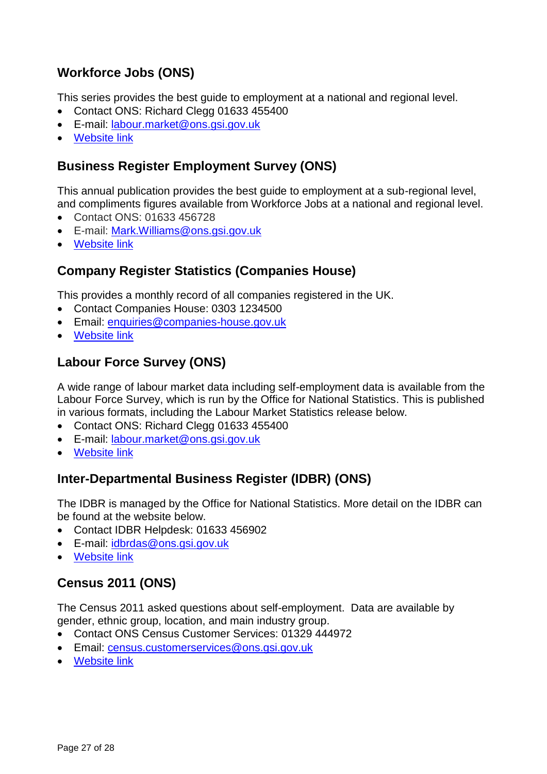## **Workforce Jobs (ONS)**

This series provides the best guide to employment at a national and regional level.

- Contact ONS: Richard Clegg 01633 455400
- E-mail: [labour.market@ons.gsi.gov.uk](mailto:labour.market@ons.gsi.gov.uk)
- [Website link](http://www.ons.gov.uk/employmentandlabourmarket/peopleinwork/employmentandemployeetypes/bulletins/uklabourmarket/previousReleases)

## **Business Register Employment Survey (ONS)**

This annual publication provides the best guide to employment at a sub-regional level, and compliments figures available from Workforce Jobs at a national and regional level.

- Contact ONS: 01633 456728
- E-mail: [Mark.Williams@ons.gsi.gov.uk](mailto:Mark.Williams@ons.gsi.gov.uk)
- [Website link](http://www.ons.gov.uk/employmentandlabourmarket/peopleinwork/employmentandemployeetypes/bulletins/businessregisterandemploymentsurveybresprovisionalresults/previousReleases)

## **Company Register Statistics (Companies House)**

This provides a monthly record of all companies registered in the UK.

- Contact Companies House: 0303 1234500
- Email: [enquiries@companies-house.gov.uk](mailto:enquiries@companies-house.gov.uk)
- **Website link**

## **Labour Force Survey (ONS)**

A wide range of labour market data including self-employment data is available from the Labour Force Survey, which is run by the Office for National Statistics. This is published in various formats, including the Labour Market Statistics release below.

- Contact ONS: Richard Clegg 01633 455400
- E-mail: [labour.market@ons.gsi.gov.uk](mailto:labour.market@ons.gsi.gov.uk)
- [Website link](http://www.ons.gov.uk/employmentandlabourmarket/peopleinwork/employmentandemployeetypes/bulletins/uklabourmarket/previousReleases)

## **Inter-Departmental Business Register (IDBR) (ONS)**

The IDBR is managed by the Office for National Statistics. More detail on the IDBR can be found at the website below.

- Contact IDBR Helpdesk: 01633 456902
- E-mail: [idbrdas@ons.gsi.gov.uk](mailto:idbrdas@ons.gsi.gov.uk)
- [Website link](http://www.ons.gov.uk/ons/about-ons/products-and-services/idbr/index.html)

## **Census 2011 (ONS)**

The Census 2011 asked questions about self-employment. Data are available by gender, ethnic group, location, and main industry group.

- Contact ONS Census Customer Services: 01329 444972
- Email: [census.customerservices@ons.gsi.gov.uk](mailto:census.customerservices@ons.gsi.gov.uk)
- [Website link](http://www.ons.gov.uk/ons/guide-method/census/2011/index.html)